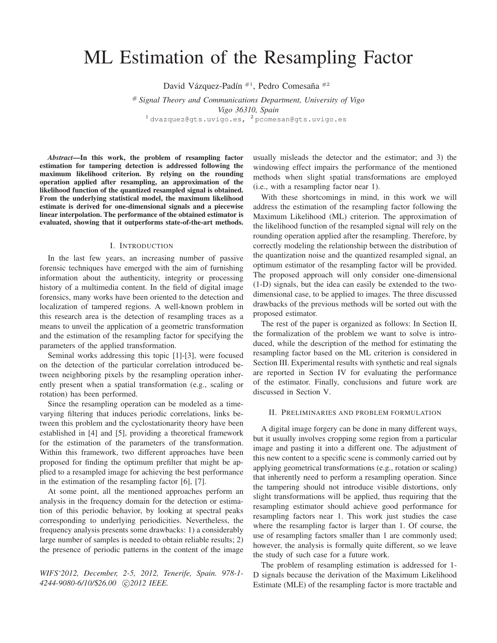# ML Estimation of the Resampling Factor

David Vázquez-Padín <sup>#1</sup>, Pedro Comesaña <sup>#2</sup>

# *Signal Theory and Communications Department, University of Vigo Vigo 36310, Spain*  $1$  dvazquez@gts.uvigo.es,  $2$  pcomesan@gts.uvigo.es

*Abstract***—In this work, the problem of resampling factor estimation for tampering detection is addressed following the maximum likelihood criterion. By relying on the rounding operation applied after resampling, an approximation of the likelihood function of the quantized resampled signal is obtained. From the underlying statistical model, the maximum likelihood estimate is derived for one-dimensional signals and a piecewise linear interpolation. The performance of the obtained estimator is evaluated, showing that it outperforms state-of-the-art methods.**

## I. INTRODUCTION

In the last few years, an increasing number of passive forensic techniques have emerged with the aim of furnishing information about the authenticity, integrity or processing history of a multimedia content. In the field of digital image forensics, many works have been oriented to the detection and localization of tampered regions. A well-known problem in this research area is the detection of resampling traces as a means to unveil the application of a geometric transformation and the estimation of the resampling factor for specifying the parameters of the applied transformation.

Seminal works addressing this topic [1]-[3], were focused on the detection of the particular correlation introduced between neighboring pixels by the resampling operation inherently present when a spatial transformation (e.g., scaling or rotation) has been performed.

Since the resampling operation can be modeled as a timevarying filtering that induces periodic correlations, links between this problem and the cyclostationarity theory have been established in [4] and [5], providing a theoretical framework for the estimation of the parameters of the transformation. Within this framework, two different approaches have been proposed for finding the optimum prefilter that might be applied to a resampled image for achieving the best performance in the estimation of the resampling factor [6], [7].

At some point, all the mentioned approaches perform an analysis in the frequency domain for the detection or estimation of this periodic behavior, by looking at spectral peaks corresponding to underlying periodicities. Nevertheless, the frequency analysis presents some drawbacks: 1) a considerably large number of samples is needed to obtain reliable results; 2) the presence of periodic patterns in the content of the image

*WIFS'2012, December, 2-5, 2012, Tenerife, Spain. 978-1- 4244-9080-6/10/*\$*26.00* c *2012 IEEE.*

usually misleads the detector and the estimator; and 3) the windowing effect impairs the performance of the mentioned methods when slight spatial transformations are employed (i.e., with a resampling factor near 1).

With these shortcomings in mind, in this work we will address the estimation of the resampling factor following the Maximum Likelihood (ML) criterion. The approximation of the likelihood function of the resampled signal will rely on the rounding operation applied after the resampling. Therefore, by correctly modeling the relationship between the distribution of the quantization noise and the quantized resampled signal, an optimum estimator of the resampling factor will be provided. The proposed approach will only consider one-dimensional (1-D) signals, but the idea can easily be extended to the twodimensional case, to be applied to images. The three discussed drawbacks of the previous methods will be sorted out with the proposed estimator.

The rest of the paper is organized as follows: In Section II, the formalization of the problem we want to solve is introduced, while the description of the method for estimating the resampling factor based on the ML criterion is considered in Section III. Experimental results with synthetic and real signals are reported in Section IV for evaluating the performance of the estimator. Finally, conclusions and future work are discussed in Section V.

#### II. PRELIMINARIES AND PROBLEM FORMULATION

A digital image forgery can be done in many different ways, but it usually involves cropping some region from a particular image and pasting it into a different one. The adjustment of this new content to a specific scene is commonly carried out by applying geometrical transformations (e.g., rotation or scaling) that inherently need to perform a resampling operation. Since the tampering should not introduce visible distortions, only slight transformations will be applied, thus requiring that the resampling estimator should achieve good performance for resampling factors near 1. This work just studies the case where the resampling factor is larger than 1. Of course, the use of resampling factors smaller than 1 are commonly used; however, the analysis is formally quite different, so we leave the study of such case for a future work.

The problem of resampling estimation is addressed for 1- D signals because the derivation of the Maximum Likelihood Estimate (MLE) of the resampling factor is more tractable and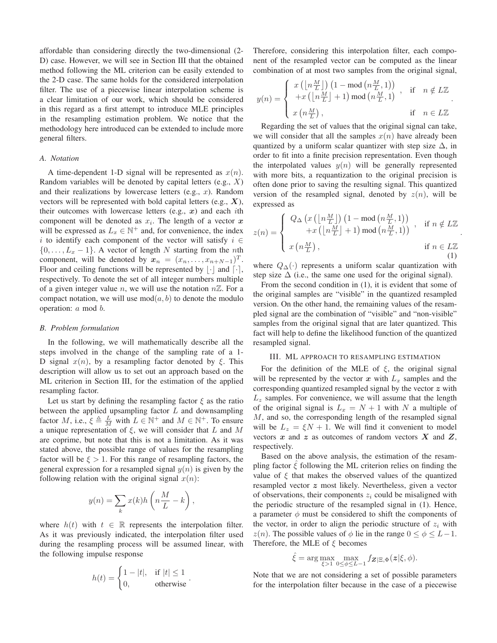affordable than considering directly the two-dimensional (2- D) case. However, we will see in Section III that the obtained method following the ML criterion can be easily extended to the 2-D case. The same holds for the considered interpolation filter. The use of a piecewise linear interpolation scheme is a clear limitation of our work, which should be considered in this regard as a first attempt to introduce MLE principles in the resampling estimation problem. We notice that the methodology here introduced can be extended to include more general filters.

#### *A. Notation*

A time-dependent 1-D signal will be represented as  $x(n)$ . Random variables will be denoted by capital letters  $(e.g., X)$ and their realizations by lowercase letters (e.g.,  $x$ ). Random vectors will be represented with bold capital letters (e.g.,  $X$ ), their outcomes with lowercase letters (e.g.,  $x$ ) and each *i*th component will be denoted as  $x_i$ . The length of a vector x will be expressed as  $L_x \in \mathbb{N}^+$  and, for convenience, the index i to identify each component of the vector will satisfy  $i \in$  $\{0, \ldots, L_x - 1\}$ . A vector of length N starting from the nth component, will be denoted by  $x_n = (x_n, \ldots, x_{n+N-1})^T$ . Floor and ceiling functions will be represented by  $|\cdot|$  and  $\lceil \cdot \rceil$ , respectively. To denote the set of all integer numbers multiple of a given integer value n, we will use the notation  $n\mathbb{Z}$ . For a compact notation, we will use  $mod(a, b)$  to denote the modulo operation: a mod b.

#### *B. Problem formulation*

In the following, we will mathematically describe all the steps involved in the change of the sampling rate of a 1- D signal  $x(n)$ , by a resampling factor denoted by ξ. This description will allow us to set out an approach based on the ML criterion in Section III, for the estimation of the applied resampling factor.

Let us start by defining the resampling factor  $\xi$  as the ratio between the applied upsampling factor  $L$  and downsampling factor M, i.e.,  $\xi \triangleq \frac{L}{M}$  with  $L \in \mathbb{N}^+$  and  $M \in \mathbb{N}^+$ . To ensure a unique representation of  $\xi$ , we will consider that L and M are coprime, but note that this is not a limitation. As it was stated above, the possible range of values for the resampling factor will be  $\xi > 1$ . For this range of resampling factors, the general expression for a resampled signal  $y(n)$  is given by the following relation with the original signal  $x(n)$ :

$$
y(n) = \sum_{k} x(k)h\left(n\frac{M}{L} - k\right),\,
$$

where  $h(t)$  with  $t \in \mathbb{R}$  represents the interpolation filter. As it was previously indicated, the interpolation filter used during the resampling process will be assumed linear, with the following impulse response

$$
h(t) = \begin{cases} 1 - |t|, & \text{if } |t| \le 1 \\ 0, & \text{otherwise} \end{cases}.
$$

Therefore, considering this interpolation filter, each component of the resampled vector can be computed as the linear combination of at most two samples from the original signal,

$$
y(n) = \begin{cases} x(\lfloor n\frac{M}{L} \rfloor) (1 - \text{mod} (n\frac{M}{L}, 1)) \\ + x(\lfloor n\frac{M}{L} \rfloor + 1) \text{ mod} (n\frac{M}{L}, 1) , & \text{if } n \notin L\mathbb{Z} \\ x(n\frac{M}{L}), & \text{if } n \in L\mathbb{Z} \end{cases}.
$$

Regarding the set of values that the original signal can take, we will consider that all the samples  $x(n)$  have already been quantized by a uniform scalar quantizer with step size  $\Delta$ , in order to fit into a finite precision representation. Even though the interpolated values  $y(n)$  will be generally represented with more bits, a requantization to the original precision is often done prior to saving the resulting signal. This quantized version of the resampled signal, denoted by  $z(n)$ , will be expressed as

$$
z(n) = \begin{cases} Q_{\Delta} \left( x \left( \left[ n \frac{M}{L} \right] \right) \left( 1 - \text{mod} \left( n \frac{M}{L}, 1 \right) \right) \\ + x \left( \left[ n \frac{M}{L} \right] + 1 \right) \text{mod} \left( n \frac{M}{L}, 1 \right) \right) , & \text{if } n \notin L \mathbb{Z} \\ x \left( n \frac{M}{L} \right), & \text{if } n \in L \mathbb{Z} \end{cases}
$$
(1)

.

where  $Q_{\Delta}(\cdot)$  represents a uniform scalar quantization with step size  $\Delta$  (i.e., the same one used for the original signal).

From the second condition in (1), it is evident that some of the original samples are "visible" in the quantized resampled version. On the other hand, the remaining values of the resampled signal are the combination of "visible" and "non-visible" samples from the original signal that are later quantized. This fact will help to define the likelihood function of the quantized resampled signal.

## III. ML APPROACH TO RESAMPLING ESTIMATION

For the definition of the MLE of  $\xi$ , the original signal will be represented by the vector  $x$  with  $L_x$  samples and the corresponding quantized resampled signal by the vector  $z$  with  $L<sub>z</sub>$  samples. For convenience, we will assume that the length of the original signal is  $L_x = N + 1$  with N a multiple of M, and so, the corresponding length of the resampled signal will be  $L_z = \xi N + 1$ . We will find it convenient to model vectors  $x$  and  $z$  as outcomes of random vectors  $X$  and  $Z$ , respectively.

Based on the above analysis, the estimation of the resampling factor  $\hat{\xi}$  following the ML criterion relies on finding the value of  $\xi$  that makes the observed values of the quantized resampled vector z most likely. Nevertheless, given a vector of observations, their components  $z_i$  could be misaligned with the periodic structure of the resampled signal in (1). Hence, a parameter  $\phi$  must be considered to shift the components of the vector, in order to align the periodic structure of  $z_i$  with  $z(n)$ . The possible values of  $\phi$  lie in the range  $0 \le \phi \le L-1$ . Therefore, the MLE of  $\xi$  becomes

$$
\hat{\xi} = \arg \max_{\xi > 1} \max_{0 \le \phi \le L-1} f_{\boldsymbol{Z}|\Xi, \Phi}(\boldsymbol{z}|\xi, \phi).
$$

Note that we are not considering a set of possible parameters for the interpolation filter because in the case of a piecewise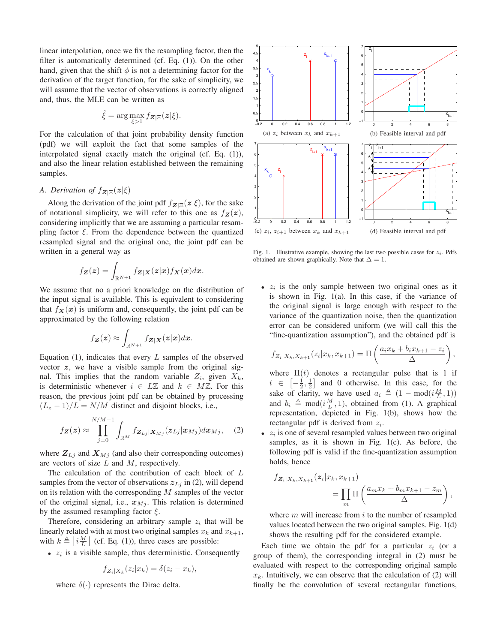linear interpolation, once we fix the resampling factor, then the filter is automatically determined (cf. Eq. (1)). On the other hand, given that the shift  $\phi$  is not a determining factor for the derivation of the target function, for the sake of simplicity, we will assume that the vector of observations is correctly aligned and, thus, the MLE can be written as

$$
\hat{\xi} = \arg \max_{\xi > 1} f_{\mathbf{Z}|\Xi}(\mathbf{z}|\xi).
$$

For the calculation of that joint probability density function (pdf) we will exploit the fact that some samples of the interpolated signal exactly match the original (cf. Eq. (1)), and also the linear relation established between the remaining samples.

## *A. Derivation of*  $f_{\mathbf{Z}|\Xi}(\mathbf{z}|\xi)$

Along the derivation of the joint pdf  $f_{\mathbf{Z}|\Xi}(\mathbf{z}|\xi)$ , for the sake of notational simplicity, we will refer to this one as  $f_Z(z)$ , considering implicitly that we are assuming a particular resampling factor  $\xi$ . From the dependence between the quantized resampled signal and the original one, the joint pdf can be written in a general way as

$$
f_{\boldsymbol{Z}}(\boldsymbol{z}) = \int_{\mathbb{R}^{N+1}} f_{\boldsymbol{Z}|\boldsymbol{X}}(\boldsymbol{z}|\boldsymbol{x}) f_{\boldsymbol{X}}(\boldsymbol{x}) d\boldsymbol{x}.
$$

We assume that no a priori knowledge on the distribution of the input signal is available. This is equivalent to considering that  $f_X(x)$  is uniform and, consequently, the joint pdf can be approximated by the following relation

$$
f_{\boldsymbol{Z}}(\boldsymbol{z}) \approx \int_{\mathbb{R}^{N+1}} f_{\boldsymbol{Z}|\boldsymbol{X}}(\boldsymbol{z}|\boldsymbol{x}) d\boldsymbol{x}.
$$

Equation  $(1)$ , indicates that every L samples of the observed vector  $z$ , we have a visible sample from the original signal. This implies that the random variable  $Z_i$ , given  $X_k$ , is deterministic whenever  $i \in L\mathbb{Z}$  and  $k \in M\mathbb{Z}$ . For this reason, the previous joint pdf can be obtained by processing  $(L_z - 1)/L = N/M$  distinct and disjoint blocks, i.e.,

$$
f_{\mathbf{Z}}(\mathbf{z}) \approx \prod_{j=0}^{N/M-1} \int_{\mathbb{R}^M} f_{\mathbf{Z}_{Lj}|\mathbf{X}_{Mj}}(\mathbf{z}_{Lj}|\mathbf{x}_{Mj}) d\mathbf{x}_{Mj}, \quad (2)
$$

where  $Z_{Lj}$  and  $X_{Mj}$  (and also their corresponding outcomes) are vectors of size  $L$  and  $M$ , respectively.

The calculation of the contribution of each block of L samples from the vector of observations  $z_{Li}$  in (2), will depend on its relation with the corresponding  $M$  samples of the vector of the original signal, i.e.,  $x_{Mj}$ . This relation is determined by the assumed resampling factor  $\xi$ .

Therefore, considering an arbitrary sample  $z_i$  that will be linearly related with at most two original samples  $x_k$  and  $x_{k+1}$ , with  $k \triangleq \lfloor i \frac{M}{L} \rfloor$  (cf. Eq. (1)), three cases are possible:

•  $z_i$  is a visible sample, thus deterministic. Consequently

$$
f_{Z_i|X_k}(z_i|x_k) = \delta(z_i - x_k),
$$

where  $\delta(\cdot)$  represents the Dirac delta.



Fig. 1. Illustrative example, showing the last two possible cases for  $z_i$ . Pdfs obtained are shown graphically. Note that  $\Delta = 1$ .

•  $z_i$  is the only sample between two original ones as it is shown in Fig. 1(a). In this case, if the variance of the original signal is large enough with respect to the variance of the quantization noise, then the quantization error can be considered uniform (we will call this the "fine-quantization assumption"), and the obtained pdf is

$$
f_{Z_i|X_k,X_{k+1}}(z_i|x_k,x_{k+1}) = \Pi\left(\frac{a_i x_k + b_i x_{k+1} - z_i}{\Delta}\right),\,
$$

where  $\Pi(t)$  denotes a rectangular pulse that is 1 if  $t \in \left[-\frac{1}{2}, \frac{1}{2}\right]$  and 0 otherwise. In this case, for the sake of clarity, we have used  $a_i \triangleq (1 - \text{mod}(i\frac{M}{L}, 1))$ and  $b_i \triangleq \text{mod}(i\frac{M}{L}, 1)$ , obtained from (1). A graphical representation, depicted in Fig. 1(b), shows how the rectangular pdf is derived from  $z_i$ .

•  $z_i$  is one of several resampled values between two original samples, as it is shown in Fig. 1(c). As before, the following pdf is valid if the fine-quantization assumption holds, hence

$$
f_{\mathbf{Z}_i|X_k,X_{k+1}}(z_i|x_k,x_{k+1}) = \prod_m \Pi\left(\frac{a_m x_k + b_m x_{k+1} - z_m}{\Delta}\right),
$$

where  $m$  will increase from  $i$  to the number of resampled values located between the two original samples. Fig. 1(d) shows the resulting pdf for the considered example.

Each time we obtain the pdf for a particular  $z_i$  (or a group of them), the corresponding integral in (2) must be evaluated with respect to the corresponding original sample  $x_k$ . Intuitively, we can observe that the calculation of (2) will finally be the convolution of several rectangular functions,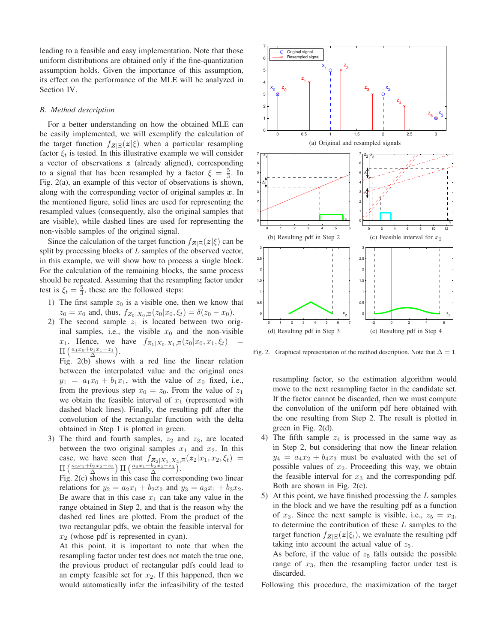leading to a feasible and easy implementation. Note that those uniform distributions are obtained only if the fine-quantization assumption holds. Given the importance of this assumption, its effect on the performance of the MLE will be analyzed in Section IV.

### *B. Method description*

For a better understanding on how the obtained MLE can be easily implemented, we will exemplify the calculation of the target function  $f_{\mathbf{Z}|\Xi}(\mathbf{z}|\xi)$  when a particular resampling factor  $\xi_t$  is tested. In this illustrative example we will consider a vector of observations  $z$  (already aligned), corresponding to a signal that has been resampled by a factor  $\xi = \frac{5}{3}$ . In Fig. 2(a), an example of this vector of observations is shown, along with the corresponding vector of original samples  $x$ . In the mentioned figure, solid lines are used for representing the resampled values (consequently, also the original samples that are visible), while dashed lines are used for representing the non-visible samples of the original signal.

Since the calculation of the target function  $f_{\mathbf{Z}|\Xi}(\mathbf{z}|\xi)$  can be split by processing blocks of  $L$  samples of the observed vector, in this example, we will show how to process a single block. For the calculation of the remaining blocks, the same process should be repeated. Assuming that the resampling factor under test is  $\xi_t = \frac{5}{3}$ , these are the followed steps:

- 1) The first sample  $z_0$  is a visible one, then we know that  $z_0 = x_0$  and, thus,  $f_{Z_0|X_0,\Xi}(z_0|x_0,\xi_t) = \delta(z_0 - x_0)$ .
- 2) The second sample  $z_1$  is located between two original samples, i.e., the visible  $x_0$  and the non-visible x<sub>1</sub>. Hence, we have  $f_{Z_1|X_0,X_1,\Xi}(z_0|x_0,x_1,\xi_t)$  $\Pi\left(\frac{a_1x_0+b_1x_1-z_1}{\Delta}\right)$ .

Fig. 2(b) shows with a red line the linear relation between the interpolated value and the original ones  $y_1 = a_1x_0 + b_1x_1$ , with the value of  $x_0$  fixed, i.e., from the previous step  $x_0 = z_0$ . From the value of  $z_1$ we obtain the feasible interval of  $x_1$  (represented with dashed black lines). Finally, the resulting pdf after the convolution of the rectangular function with the delta obtained in Step 1 is plotted in green.

3) The third and fourth samples,  $z_2$  and  $z_3$ , are located between the two original samples  $x_1$  and  $x_2$ . In this case, we have seen that  $f_{\mathbf{Z}_2|X_1,X_2,\Xi}(\mathbf{z}_2|x_1,x_2,\xi_t)$  =  $\Pi$  ( $\frac{a_2x_1+b_2x_2-z_2}{\Delta}$ ) Π ( $\frac{a_2x_1+b_2x_2-z_3}{\Delta}$ ).

Fig. 2(c) shows in this case the corresponding two linear relations for  $y_2 = a_2x_1 + b_2x_2$  and  $y_3 = a_3x_1 + b_3x_2$ . Be aware that in this case  $x_1$  can take any value in the range obtained in Step 2, and that is the reason why the dashed red lines are plotted. From the product of the two rectangular pdfs, we obtain the feasible interval for  $x_2$  (whose pdf is represented in cyan).

At this point, it is important to note that when the resampling factor under test does not match the true one, the previous product of rectangular pdfs could lead to an empty feasible set for  $x_2$ . If this happened, then we would automatically infer the infeasibility of the tested



Fig. 2. Graphical representation of the method description. Note that  $\Delta = 1$ .

resampling factor, so the estimation algorithm would move to the next resampling factor in the candidate set. If the factor cannot be discarded, then we must compute the convolution of the uniform pdf here obtained with the one resulting from Step 2. The result is plotted in green in Fig. 2(d).

- 4) The fifth sample  $z_4$  is processed in the same way as in Step 2, but considering that now the linear relation  $y_4 = a_4x_2 + b_4x_3$  must be evaluated with the set of possible values of  $x_2$ . Proceeding this way, we obtain the feasible interval for  $x_3$  and the corresponding pdf. Both are shown in Fig. 2(e).
- 5) At this point, we have finished processing the  $L$  samples in the block and we have the resulting pdf as a function of  $x_3$ . Since the next sample is visible, i.e.,  $z_5 = x_3$ , to determine the contribution of these  $L$  samples to the target function  $f_{\mathbf{Z}|\Xi}(\mathbf{z}|\xi_t)$ , we evaluate the resulting pdf taking into account the actual value of  $z_5$ . As before, if the value of  $z_5$  falls outside the possible

range of  $x_3$ , then the resampling factor under test is discarded.

Following this procedure, the maximization of the target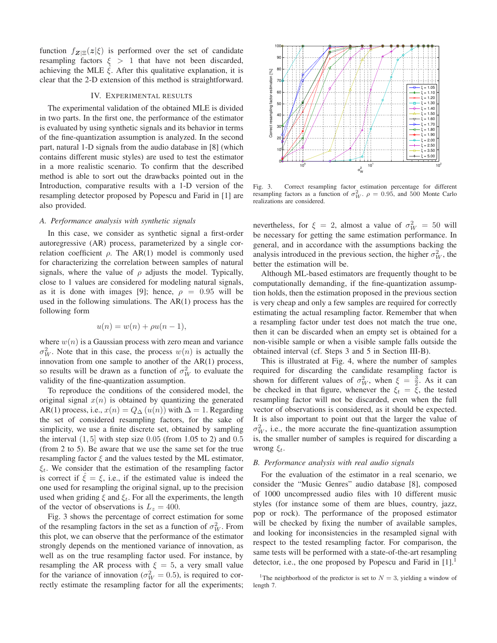function  $f_{\mathbf{Z}|\mathbf{E}}(\mathbf{z}|\xi)$  is performed over the set of candidate resampling factors  $\xi > 1$  that have not been discarded, achieving the MLE  $\xi$ . After this qualitative explanation, it is clear that the 2-D extension of this method is straightforward.

# IV. EXPERIMENTAL RESULTS

The experimental validation of the obtained MLE is divided in two parts. In the first one, the performance of the estimator is evaluated by using synthetic signals and its behavior in terms of the fine-quantization assumption is analyzed. In the second part, natural 1-D signals from the audio database in [8] (which contains different music styles) are used to test the estimator in a more realistic scenario. To confirm that the described method is able to sort out the drawbacks pointed out in the Introduction, comparative results with a 1-D version of the resampling detector proposed by Popescu and Farid in [1] are also provided.

# *A. Performance analysis with synthetic signals*

In this case, we consider as synthetic signal a first-order autoregressive (AR) process, parameterized by a single correlation coefficient  $\rho$ . The AR(1) model is commonly used for characterizing the correlation between samples of natural signals, where the value of  $\rho$  adjusts the model. Typically, close to 1 values are considered for modeling natural signals, as it is done with images [9]; hence,  $\rho = 0.95$  will be used in the following simulations. The AR(1) process has the following form

$$
u(n) = w(n) + \rho u(n-1),
$$

where  $w(n)$  is a Gaussian process with zero mean and variance  $\sigma_W^2$ . Note that in this case, the process  $w(n)$  is actually the innovation from one sample to another of the AR(1) process, so results will be drawn as a function of  $\sigma_W^2$  to evaluate the validity of the fine-quantization assumption.

To reproduce the conditions of the considered model, the original signal  $x(n)$  is obtained by quantizing the generated AR(1) process, i.e.,  $x(n) = Q_{\Delta}(u(n))$  with  $\Delta = 1$ . Regarding the set of considered resampling factors, for the sake of simplicity, we use a finite discrete set, obtained by sampling the interval  $(1, 5]$  with step size 0.05 (from 1.05 to 2) and 0.5 (from 2 to 5). Be aware that we use the same set for the true resampling factor  $\xi$  and the values tested by the ML estimator,  $\xi_t$ . We consider that the estimation of the resampling factor is correct if  $\hat{\xi} = \xi$ , i.e., if the estimated value is indeed the one used for resampling the original signal, up to the precision used when griding  $\xi$  and  $\xi_t$ . For all the experiments, the length of the vector of observations is  $L_z = 400$ .

Fig. 3 shows the percentage of correct estimation for some of the resampling factors in the set as a function of  $\sigma_W^2$ . From this plot, we can observe that the performance of the estimator strongly depends on the mentioned variance of innovation, as well as on the true resampling factor used. For instance, by resampling the AR process with  $\xi = 5$ , a very small value for the variance of innovation ( $\sigma_W^2 = 0.5$ ), is required to correctly estimate the resampling factor for all the experiments;



Fig. 3. Correct resampling factor estimation percentage for different resampling factors as a function of  $\sigma_W^2$ .  $\rho = 0.95$ , and 500 Monte Carlo realizations are considered.

nevertheless, for  $\xi = 2$ , almost a value of  $\sigma_W^2 = 50$  will be necessary for getting the same estimation performance. In general, and in accordance with the assumptions backing the analysis introduced in the previous section, the higher  $\sigma_W^2$ , the better the estimation will be.

Although ML-based estimators are frequently thought to be computationally demanding, if the fine-quantization assumption holds, then the estimation proposed in the previous section is very cheap and only a few samples are required for correctly estimating the actual resampling factor. Remember that when a resampling factor under test does not match the true one, then it can be discarded when an empty set is obtained for a non-visible sample or when a visible sample falls outside the obtained interval (cf. Steps 3 and 5 in Section III-B).

This is illustrated at Fig. 4, where the number of samples required for discarding the candidate resampling factor is shown for different values of  $\sigma_W^2$ , when  $\xi = \frac{3}{2}$ . As it can be checked in that figure, whenever the  $\xi_t = \xi$ , the tested resampling factor will not be discarded, even when the full vector of observations is considered, as it should be expected. It is also important to point out that the larger the value of  $\sigma_W^2$ , i.e., the more accurate the fine-quantization assumption is, the smaller number of samples is required for discarding a wrong  $\xi_t$ .

### *B. Performance analysis with real audio signals*

For the evaluation of the estimator in a real scenario, we consider the "Music Genres" audio database [8], composed of 1000 uncompressed audio files with 10 different music styles (for instance some of them are blues, country, jazz, pop or rock). The performance of the proposed estimator will be checked by fixing the number of available samples, and looking for inconsistencies in the resampled signal with respect to the tested resampling factor. For comparison, the same tests will be performed with a state-of-the-art resampling detector, i.e., the one proposed by Popescu and Farid in [1].<sup>1</sup>

<sup>1</sup>The neighborhood of the predictor is set to  $N = 3$ , yielding a window of length 7.